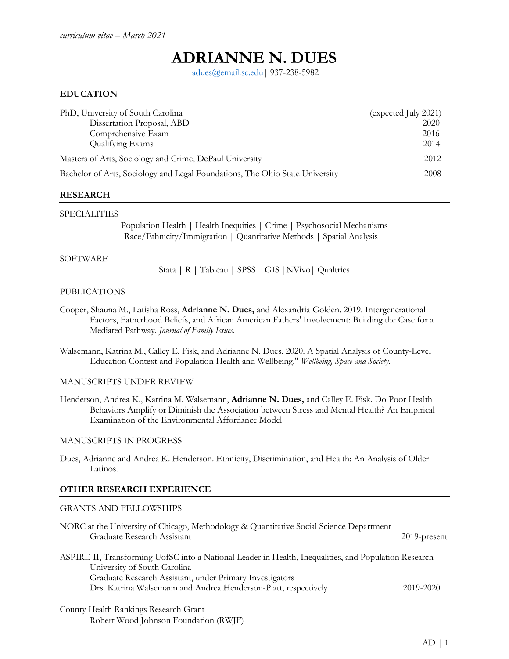# **ADRIANNE N. DUES**

[adues@email.sc.edu|](mailto:adues@email.sc.edu) 937-238-5982

## **EDUCATION**

| PhD, University of South Carolina                                            | (expected July 2021) |
|------------------------------------------------------------------------------|----------------------|
| Dissertation Proposal, ABD                                                   | 2020                 |
| Comprehensive Exam                                                           | 2016                 |
| Qualifying Exams                                                             | 2014                 |
| Masters of Arts, Sociology and Crime, DePaul University                      | 2012                 |
| Bachelor of Arts, Sociology and Legal Foundations, The Ohio State University | 2008                 |

#### **RESEARCH**

## SPECIALITIES

Population Health | Health Inequities | Crime | Psychosocial Mechanisms Race/Ethnicity/Immigration | Quantitative Methods | Spatial Analysis

#### SOFTWARE

Stata | R | Tableau | SPSS | GIS |NVivo| Qualtrics

#### PUBLICATIONS

- Cooper, Shauna M., Latisha Ross, **Adrianne N. Dues,** and Alexandria Golden. 2019. Intergenerational Factors, Fatherhood Beliefs, and African American Fathers' Involvement: Building the Case for a Mediated Pathway. *Journal of Family Issues.*
- Walsemann, Katrina M., Calley E. Fisk, and Adrianne N. Dues. 2020. A Spatial Analysis of County-Level Education Context and Population Health and Wellbeing." *Wellbeing, Space and Society*.

## MANUSCRIPTS UNDER REVIEW

Henderson, Andrea K., Katrina M. Walsemann, **Adrianne N. Dues,** and Calley E. Fisk. Do Poor Health Behaviors Amplify or Diminish the Association between Stress and Mental Health? An Empirical Examination of the Environmental Affordance Model

## MANUSCRIPTS IN PROGRESS

Dues, Adrianne and Andrea K. Henderson. Ethnicity, Discrimination, and Health: An Analysis of Older Latinos.

## **OTHER RESEARCH EXPERIENCE**

## GRANTS AND FELLOWSHIPS

| NORC at the University of Chicago, Methodology & Quantitative Social Science Department<br>Graduate Research Assistant                | $2019$ -present |
|---------------------------------------------------------------------------------------------------------------------------------------|-----------------|
| ASPIRE II, Transforming UofSC into a National Leader in Health, Inequalities, and Population Research<br>University of South Carolina |                 |
| Graduate Research Assistant, under Primary Investigators                                                                              |                 |
| Drs. Katrina Walsemann and Andrea Henderson-Platt, respectively                                                                       | 2019-2020       |
|                                                                                                                                       |                 |

County Health Rankings Research Grant Robert Wood Johnson Foundation (RWJF)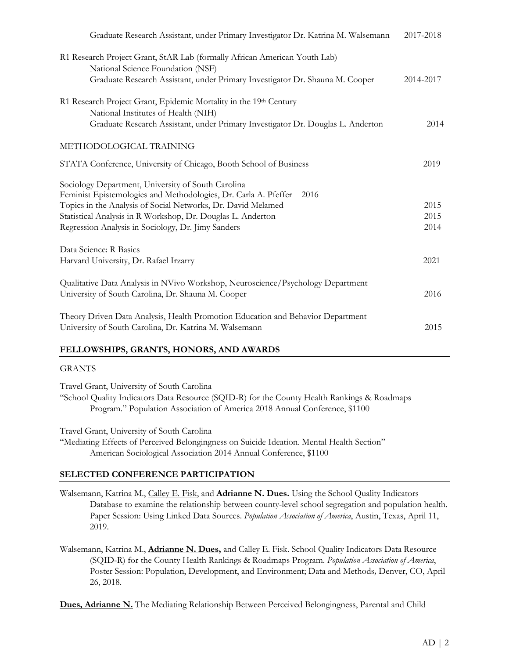| 2017-2018 |
|-----------|
|           |
| 2014-2017 |
|           |
| 2014      |
|           |
| 2019      |
|           |
| 2015      |
| 2015      |
| 2014      |
|           |
| 2021      |
| 2016      |
|           |
| 2015      |
|           |

# **FELLOWSHIPS, GRANTS, HONORS, AND AWARDS**

## GRANTS

Travel Grant, University of South Carolina "School Quality Indicators Data Resource (SQID-R) for the County Health Rankings & Roadmaps Program." Population Association of America 2018 Annual Conference, \$1100

Travel Grant, University of South Carolina "Mediating Effects of Perceived Belongingness on Suicide Ideation. Mental Health Section" American Sociological Association 2014 Annual Conference, \$1100

# **SELECTED CONFERENCE PARTICIPATION**

Walsemann, Katrina M., Calley E. Fisk, and **Adrianne N. Dues.** Using the School Quality Indicators Database to examine the relationship between county-level school segregation and population health. Paper Session: Using Linked Data Sources. *Population Association of America*, Austin, Texas, April 11, 2019.

Walsemann, Katrina M., **Adrianne N. Dues,** and Calley E. Fisk. School Quality Indicators Data Resource (SQID-R) for the County Health Rankings & Roadmaps Program. *Population Association of America*, Poster Session: Population, Development, and Environment; Data and Methods*,* Denver, CO, April 26, 2018.

**Dues, Adrianne N.** The Mediating Relationship Between Perceived Belongingness, Parental and Child